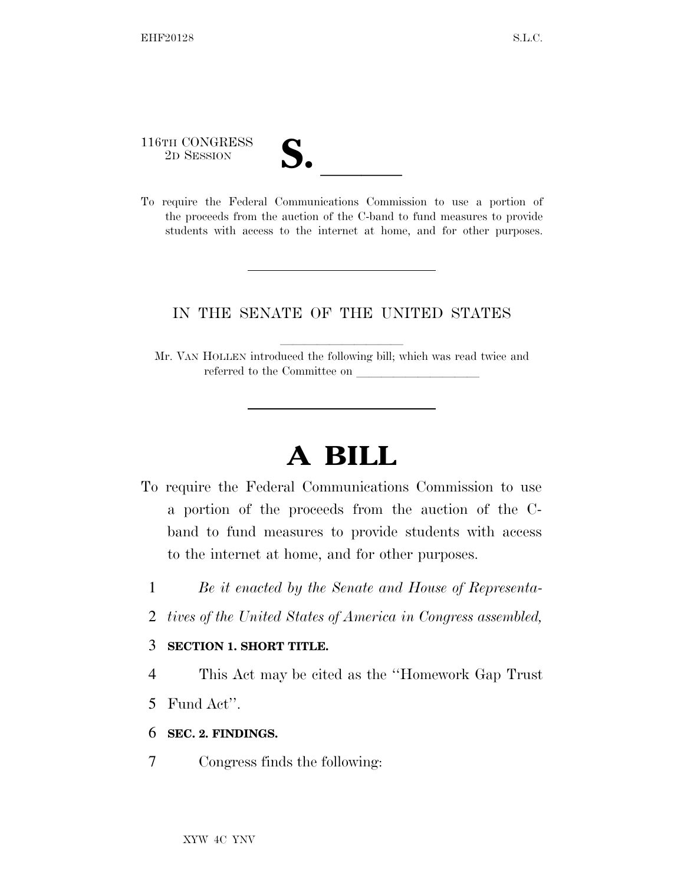116TH CONGRESS

116TH CONGRESS<br>
2D SESSION<br>
To require the Federal Communications Commission to use a portion of the proceeds from the auction of the C-band to fund measures to provide students with access to the internet at home, and for other purposes.

## IN THE SENATE OF THE UNITED STATES

Mr. VAN HOLLEN introduced the following bill; which was read twice and referred to the Committee on

## **A BILL**

- To require the Federal Communications Commission to use a portion of the proceeds from the auction of the Cband to fund measures to provide students with access to the internet at home, and for other purposes.
	- 1 *Be it enacted by the Senate and House of Representa-*
	- 2 *tives of the United States of America in Congress assembled,*

## 3 **SECTION 1. SHORT TITLE.**

4 This Act may be cited as the ''Homework Gap Trust

5 Fund Act''.

- 6 **SEC. 2. FINDINGS.**
- 7 Congress finds the following: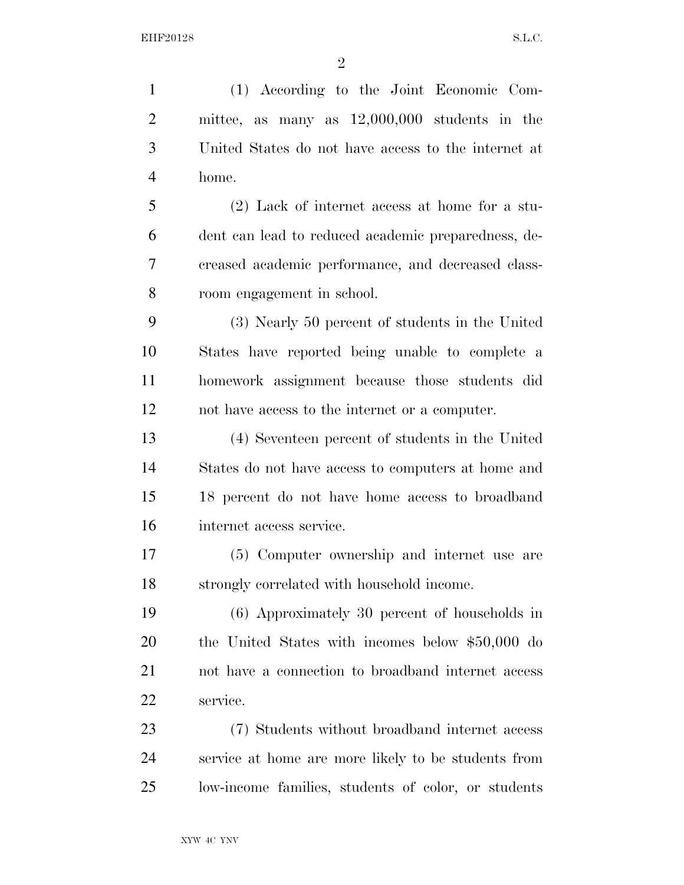$\mathfrak{D}$ 

 (1) According to the Joint Economic Com- mittee, as many as 12,000,000 students in the United States do not have access to the internet at home. (2) Lack of internet access at home for a stu- dent can lead to reduced academic preparedness, de- creased academic performance, and decreased class- room engagement in school. (3) Nearly 50 percent of students in the United States have reported being unable to complete a homework assignment because those students did not have access to the internet or a computer. (4) Seventeen percent of students in the United States do not have access to computers at home and 18 percent do not have home access to broadband internet access service. (5) Computer ownership and internet use are strongly correlated with household income. (6) Approximately 30 percent of households in the United States with incomes below \$50,000 do not have a connection to broadband internet access service. (7) Students without broadband internet access service at home are more likely to be students from

low-income families, students of color, or students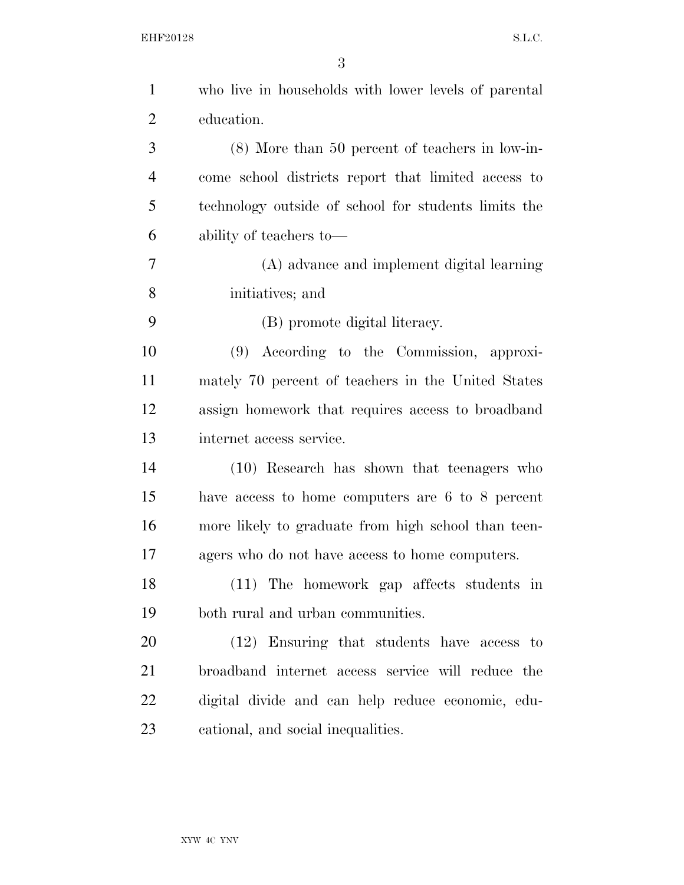| $\mathbf{1}$   | who live in households with lower levels of parental |
|----------------|------------------------------------------------------|
| $\overline{2}$ | education.                                           |
| 3              | $(8)$ More than 50 percent of teachers in low-in-    |
| $\overline{4}$ | come school districts report that limited access to  |
| 5              | technology outside of school for students limits the |
| 6              | ability of teachers to-                              |
| 7              | (A) advance and implement digital learning           |
| 8              | initiatives; and                                     |
| 9              | (B) promote digital literacy.                        |
| 10             | (9) According to the Commission, approxi-            |
| 11             | mately 70 percent of teachers in the United States   |
| 12             | assign homework that requires access to broadband    |
| 13             | internet access service.                             |
| 14             | (10) Research has shown that teenagers who           |
| 15             | have access to home computers are 6 to 8 percent     |
| 16             | more likely to graduate from high school than teen-  |
| 17             | agers who do not have access to home computers.      |
| 18             | (11) The homework gap affects students in            |
| 19             | both rural and urban communities.                    |
| 20             | (12) Ensuring that students have access to           |
| 21             | broadband internet access service will reduce the    |
| 22             | digital divide and can help reduce economic, edu-    |
| 23             | cational, and social inequalities.                   |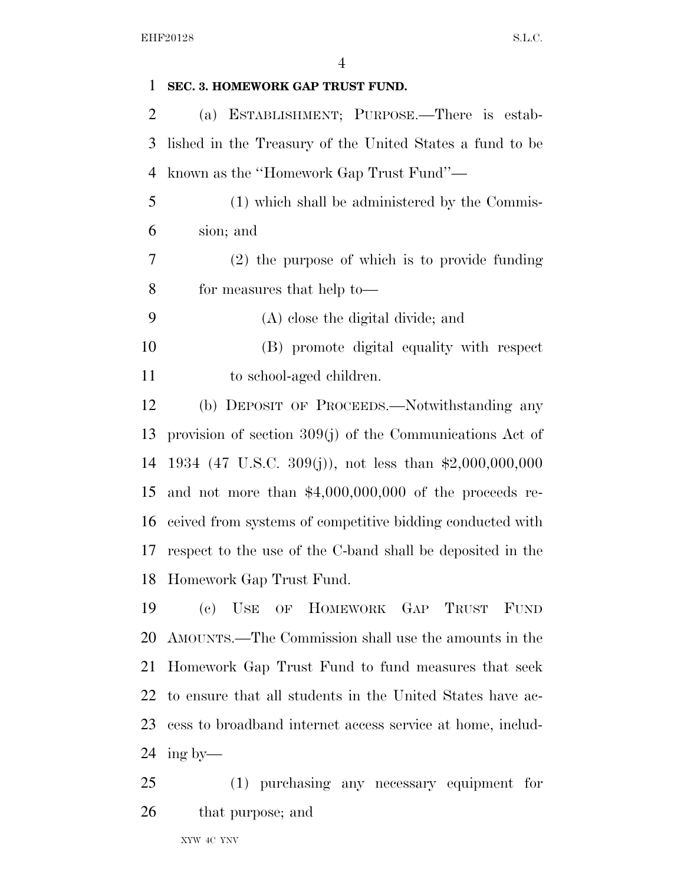## **SEC. 3. HOMEWORK GAP TRUST FUND.**

 (a) ESTABLISHMENT; PURPOSE.—There is estab- lished in the Treasury of the United States a fund to be known as the ''Homework Gap Trust Fund''—

- (1) which shall be administered by the Commis-sion; and
- (2) the purpose of which is to provide funding for measures that help to—

(A) close the digital divide; and

 (B) promote digital equality with respect 11 to school-aged children.

 (b) DEPOSIT OF PROCEEDS.—Notwithstanding any provision of section 309(j) of the Communications Act of 1934 (47 U.S.C. 309(j)), not less than \$2,000,000,000 and not more than \$4,000,000,000 of the proceeds re- ceived from systems of competitive bidding conducted with respect to the use of the C-band shall be deposited in the Homework Gap Trust Fund.

 (c) USE OF HOMEWORK GAP TRUST FUND AMOUNTS.—The Commission shall use the amounts in the Homework Gap Trust Fund to fund measures that seek to ensure that all students in the United States have ac- cess to broadband internet access service at home, includ-ing by—

 (1) purchasing any necessary equipment for that purpose; and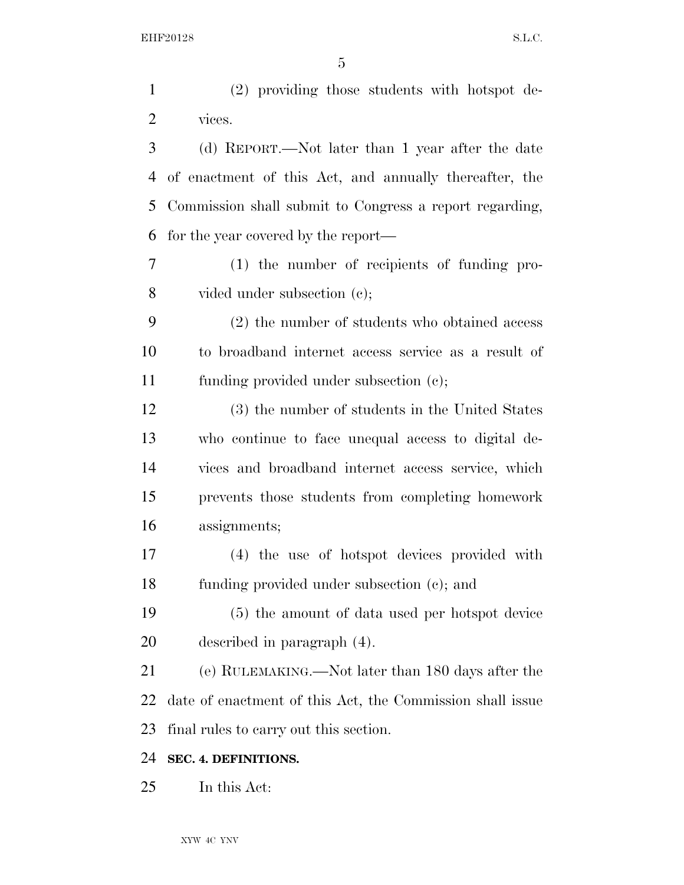| $\mathbf{1}$   | (2) providing those students with hotspot de-             |
|----------------|-----------------------------------------------------------|
| $\overline{2}$ | vices.                                                    |
| 3              | (d) REPORT.—Not later than 1 year after the date          |
| 4              | of enactment of this Act, and annually thereafter, the    |
| 5              | Commission shall submit to Congress a report regarding,   |
| 6              | for the year covered by the report—                       |
| 7              | (1) the number of recipients of funding pro-              |
| 8              | vided under subsection $(c)$ ;                            |
| 9              | (2) the number of students who obtained access            |
| 10             | to broadband internet access service as a result of       |
| 11             | funding provided under subsection (c);                    |
| 12             | (3) the number of students in the United States           |
| 13             | who continue to face unequal access to digital de-        |
| 14             | vices and broadband internet access service, which        |
| 15             | prevents those students from completing homework          |
| 16             | assignments;                                              |
| 17             | (4) the use of hotspot devices provided with              |
| 18             | funding provided under subsection (c); and                |
| 19             | (5) the amount of data used per hotspot device            |
| 20             | described in paragraph (4).                               |
| 21             | (e) RULEMAKING.—Not later than 180 days after the         |
| 22             | date of enactment of this Act, the Commission shall issue |
| 23             | final rules to carry out this section.                    |
| 24             | SEC. 4. DEFINITIONS.                                      |
| 25             | In this Act:                                              |
|                |                                                           |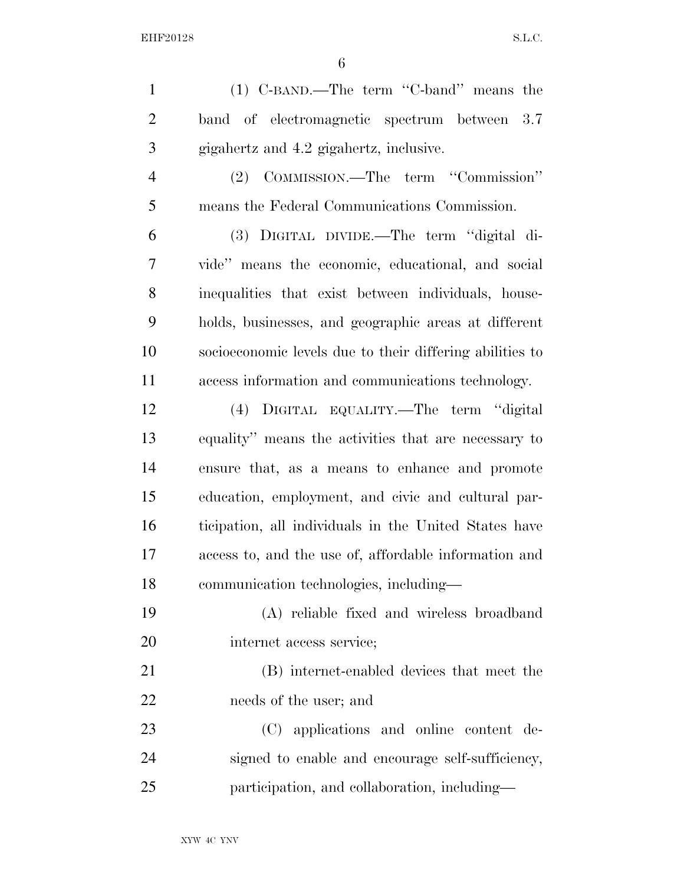EHF20128 S.L.C.

| $\mathbf{1}$   | (1) C-BAND.—The term "C-band" means the                  |
|----------------|----------------------------------------------------------|
| $\overline{2}$ | band of electromagnetic spectrum between 3.7             |
| 3              | gigahertz and 4.2 gigahertz, inclusive.                  |
| $\overline{4}$ | (2) COMMISSION.—The term "Commission"                    |
| 5              | means the Federal Communications Commission.             |
| 6              | (3) DIGITAL DIVIDE.—The term "digital di-                |
| 7              | vide" means the economic, educational, and social        |
| 8              | inequalities that exist between individuals, house-      |
| 9              | holds, businesses, and geographic areas at different     |
| 10             | socioeconomic levels due to their differing abilities to |
| 11             | access information and communications technology.        |
| 12             | (4) DIGITAL EQUALITY.—The term "digital                  |
| 13             | equality" means the activities that are necessary to     |
| 14             | ensure that, as a means to enhance and promote           |
| 15             | education, employment, and civic and cultural par-       |
| 16             | ticipation, all individuals in the United States have    |
| 17             | access to, and the use of, affordable information and    |
| 18             | communication technologies, including—                   |
| 19             | (A) reliable fixed and wireless broadband                |
| 20             | internet access service;                                 |
| 21             | (B) internet-enabled devices that meet the               |
| 22             | needs of the user; and                                   |
| 23             | (C) applications and online content de-                  |
| 24             | signed to enable and encourage self-sufficiency,         |
| 25             | participation, and collaboration, including—             |